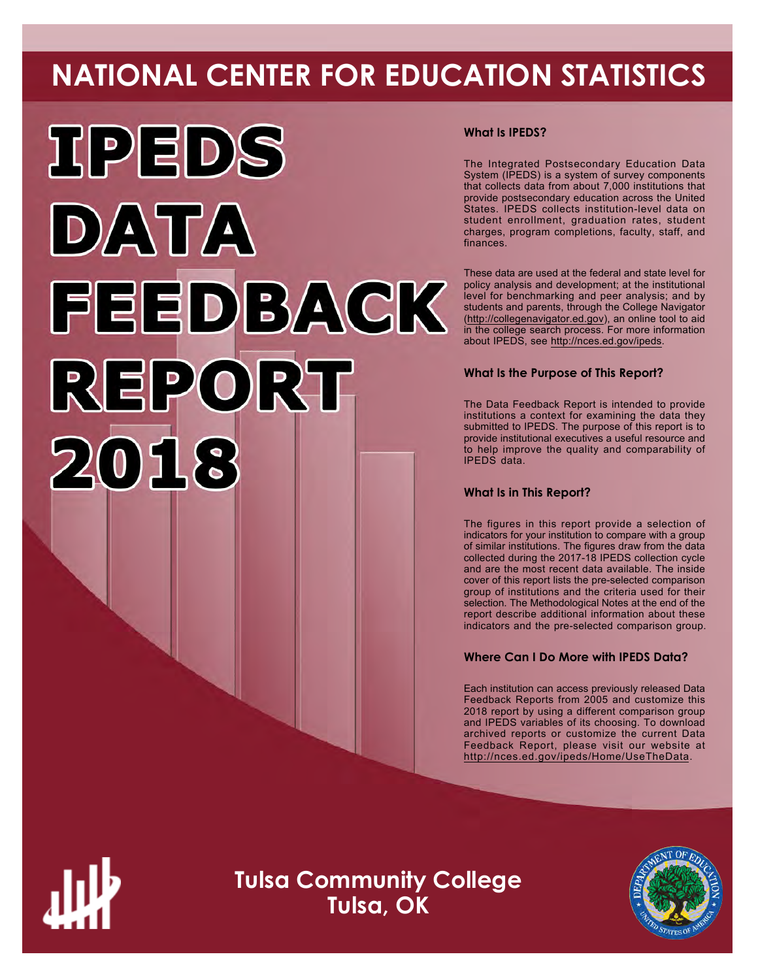# **NATIONAL CENTER FOR EDUCATION STATISTICS**



### **What Is IPEDS?**

The Integrated Postsecondary Education Data System (IPEDS) is a system of survey components that collects data from about 7,000 institutions that provide postsecondary education across the United States. IPEDS collects institution-level data on student enrollment, graduation rates, student charges, program completions, faculty, staff, and finances.

These data are used at the federal and state level for policy analysis and development; at the institutional level for benchmarking and peer analysis; and by students and parents, through the College Navigator ([http://collegenavigator.ed.gov\)](http://collegenavigator.ed.gov), an online tool to aid in the college search process. For more information about IPEDS, see [http://nces.ed.gov/ipeds.](http://nces.ed.gov/ipeds)

## **What Is the Purpose of This Report?**

The Data Feedback Report is intended to provide institutions a context for examining the data they submitted to IPEDS. The purpose of this report is to provide institutional executives a useful resource and to help improve the quality and comparability of IPEDS data.

### **What Is in This Report?**

The figures in this report provide a selection of indicators for your institution to compare with a group of similar institutions. The figures draw from the data collected during the 2017-18 IPEDS collection cycle and are the most recent data available. The inside cover of this report lists the pre-selected comparison group of institutions and the criteria used for their selection. The Methodological Notes at the end of the report describe additional information about these indicators and the pre-selected comparison group.

### **Where Can I Do More with IPEDS Data?**

Each institution can access previously released Data Feedback Reports from 2005 and customize this 2018 report by using a different comparison group and IPEDS variables of its choosing. To download archived reports or customize the current Data Feedback Report, please visit our website at <http://nces.ed.gov/ipeds/Home/UseTheData>.



**Tulsa Community College Tulsa, OK**

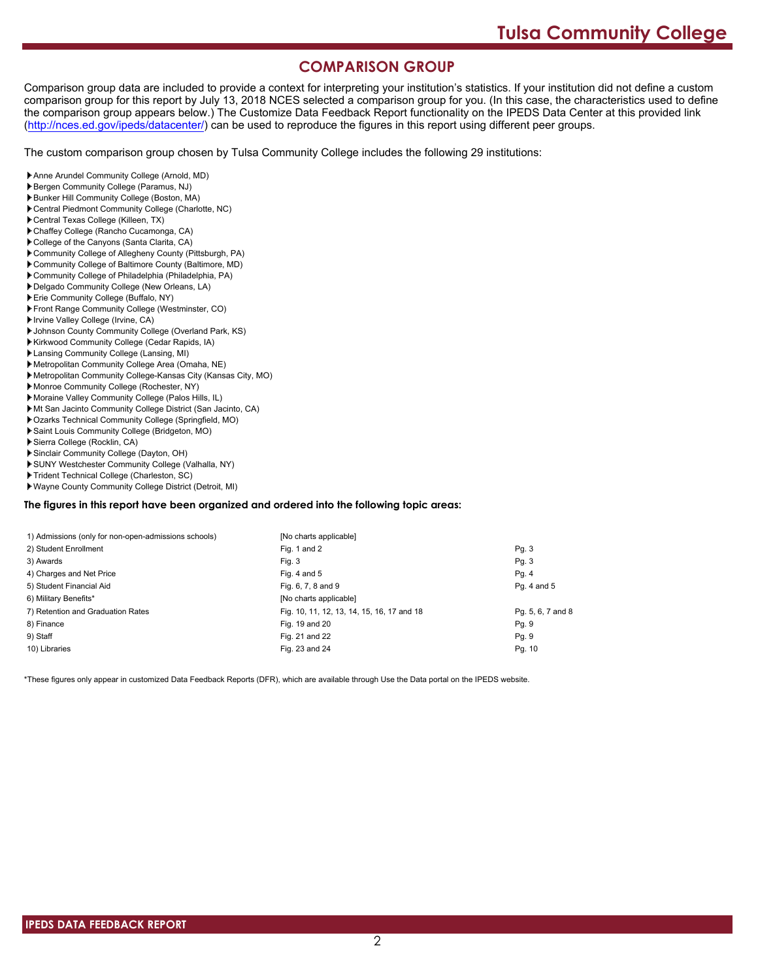# **COMPARISON GROUP**

Comparison group data are included to provide a context for interpreting your institution's statistics. If your institution did not define a custom comparison group for this report by July 13, 2018 NCES selected a comparison group for you. (In this case, the characteristics used to define the comparison group appears below.) The Customize Data Feedback Report functionality on the IPEDS Data Center at this provided link [\(http://nces.ed.gov/ipeds/datacenter/\)](http://nces.ed.gov/ipeds/datacenter/) can be used to reproduce the figures in this report using different peer groups.

The custom comparison group chosen by Tulsa Community College includes the following 29 institutions:

- Anne Arundel Community College (Arnold, MD)
- Bergen Community College (Paramus, NJ)
- Bunker Hill Community College (Boston, MA)
- Central Piedmont Community College (Charlotte, NC)
- Central Texas College (Killeen, TX)
- Chaffey College (Rancho Cucamonga, CA)
- College of the Canyons (Santa Clarita, CA)
- Community College of Allegheny County (Pittsburgh, PA)
- Community College of Baltimore County (Baltimore, MD)
- Community College of Philadelphia (Philadelphia, PA)
- Delgado Community College (New Orleans, LA)
- Erie Community College (Buffalo, NY)
- Front Range Community College (Westminster, CO)
- Irvine Valley College (Irvine, CA)
- Johnson County Community College (Overland Park, KS)
- Kirkwood Community College (Cedar Rapids, IA)
- Lansing Community College (Lansing, MI)
- Metropolitan Community College Area (Omaha, NE)
- Metropolitan Community College-Kansas City (Kansas City, MO)
- Monroe Community College (Rochester, NY)
- Moraine Valley Community College (Palos Hills, IL)
- Mt San Jacinto Community College District (San Jacinto, CA)
- Ozarks Technical Community College (Springfield, MO)
- Saint Louis Community College (Bridgeton, MO)
- Sierra College (Rocklin, CA)
- Sinclair Community College (Dayton, OH)
- SUNY Westchester Community College (Valhalla, NY)
- Trident Technical College (Charleston, SC)
- Wayne County Community College District (Detroit, MI)

#### **The figures in this report have been organized and ordered into the following topic areas:**

| 1) Admissions (only for non-open-admissions schools) | [No charts applicable]                     |                   |
|------------------------------------------------------|--------------------------------------------|-------------------|
| 2) Student Enrollment                                | Fig. 1 and 2                               | Pg.3              |
| 3) Awards                                            | Fig. 3                                     | Pg.3              |
| 4) Charges and Net Price                             | Fig. 4 and $5$                             | Pg. 4             |
| 5) Student Financial Aid                             | Fig. 6, 7, 8 and 9                         | Pg. 4 and 5       |
| 6) Military Benefits*                                | [No charts applicable]                     |                   |
| 7) Retention and Graduation Rates                    | Fig. 10, 11, 12, 13, 14, 15, 16, 17 and 18 | Pg. 5, 6, 7 and 8 |
| 8) Finance                                           | Fig. 19 and 20                             | Pg. 9             |
| 9) Staff                                             | Fig. 21 and 22                             | Pg. 9             |
| 10) Libraries                                        | Fig. 23 and 24                             | Pg. 10            |

\*These figures only appear in customized Data Feedback Reports (DFR), which are available through Use the Data portal on the IPEDS website.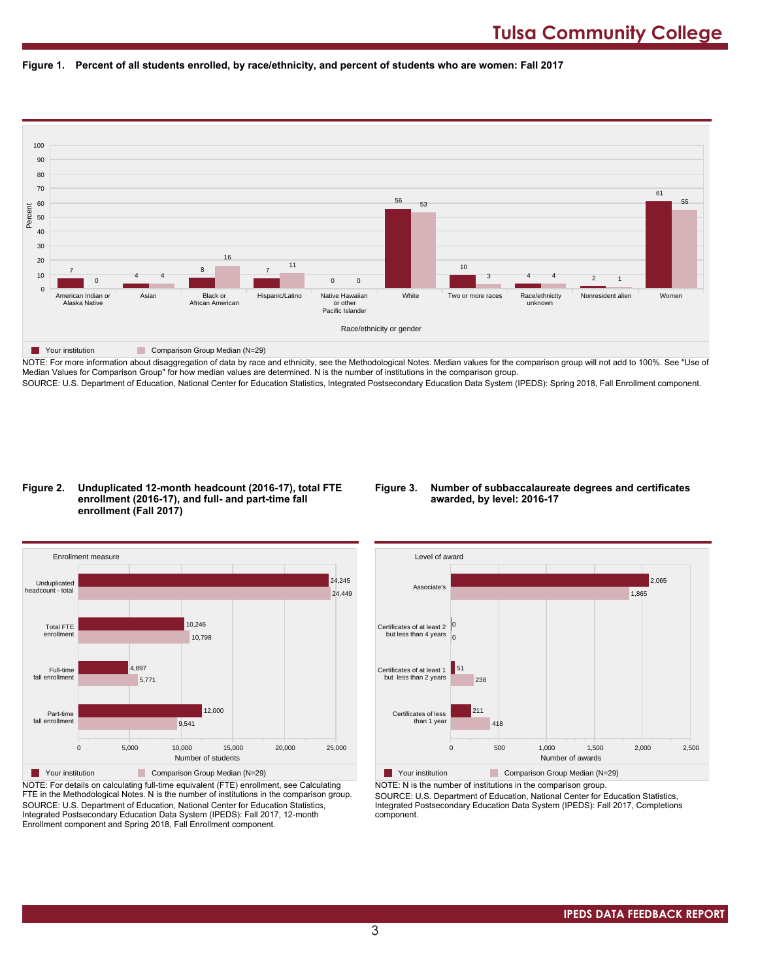



NOTE: For more information about disaggregation of data by race and ethnicity, see the Methodological Notes. Median values for the comparison group will not add to 100%. See "Use of Median Values for Comparison Group" for how median values are determined. N is the number of institutions in the comparison group. SOURCE: U.S. Department of Education, National Center for Education Statistics, Integrated Postsecondary Education Data System (IPEDS): Spring 2018, Fall Enrollment component.

#### **Figure 2. Unduplicated 12-month headcount (2016-17), total FTE enrollment (2016-17), and full- and part-time fall enrollment (Fall 2017)**

#### **Figure 3. Number of subbaccalaureate degrees and certificates awarded, by level: 2016-17**



NOTE: For details on calculating full-time equivalent (FTE) enrollment, see Calculating FTE in the Methodological Notes. N is the number of institutions in the comparison group. SOURCE: U.S. Department of Education, National Center for Education Statistics, Integrated Postsecondary Education Data System (IPEDS): Fall 2017, 12-month Enrollment component and Spring 2018, Fall Enrollment component.



NOTE: N is the number of institutions in the comparison group.

SOURCE: U.S. Department of Education, National Center for Education Statistics, Integrated Postsecondary Education Data System (IPEDS): Fall 2017, Completions component.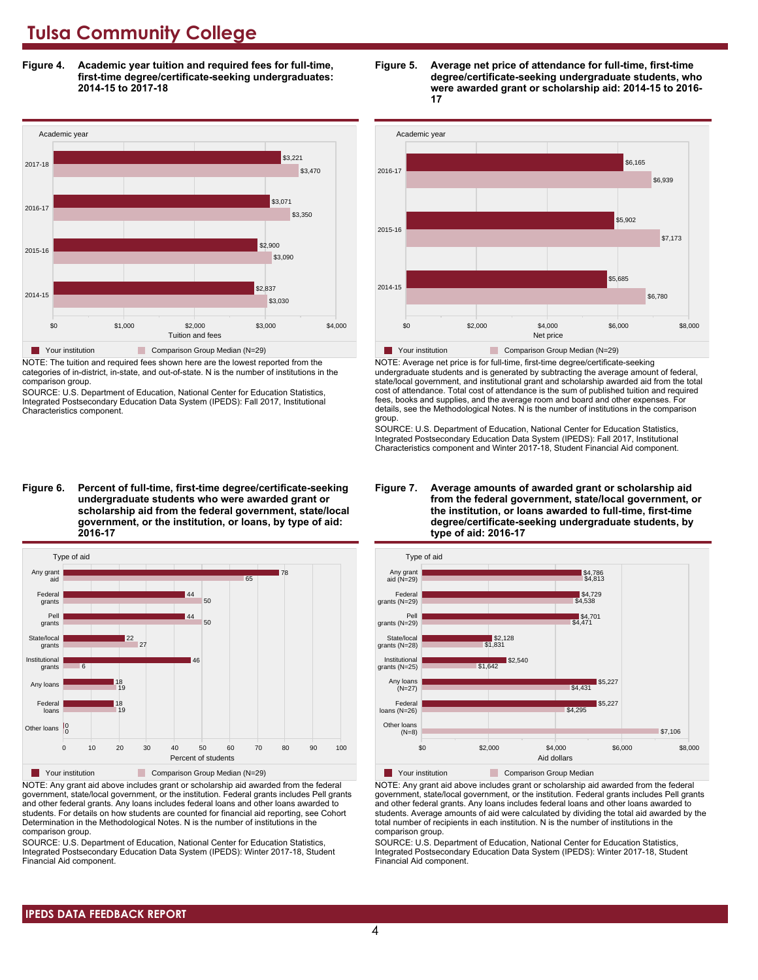**Figure 4. Academic year tuition and required fees for full-time, first-time degree/certificate-seeking undergraduates: 2014-15 to 2017-18**



NOTE: The tuition and required fees shown here are the lowest reported from the categories of in-district, in-state, and out-of-state. N is the number of institutions in the comparison group.

SOURCE: U.S. Department of Education, National Center for Education Statistics, Integrated Postsecondary Education Data System (IPEDS): Fall 2017, Institutional Characteristics component.

**Figure 6. Percent of full-time, first-time degree/certificate-seeking undergraduate students who were awarded grant or scholarship aid from the federal government, state/local government, or the institution, or loans, by type of aid: 2016-17**



NOTE: Any grant aid above includes grant or scholarship aid awarded from the federal government, state/local government, or the institution. Federal grants includes Pell grants and other federal grants. Any loans includes federal loans and other loans awarded to students. For details on how students are counted for financial aid reporting, see Cohort Determination in the Methodological Notes. N is the number of institutions in the comparison group.

SOURCE: U.S. Department of Education, National Center for Education Statistics, Integrated Postsecondary Education Data System (IPEDS): Winter 2017-18, Student Financial Aid component.





NOTE: Average net price is for full-time, first-time degree/certificate-seeking undergraduate students and is generated by subtracting the average amount of federal, state/local government, and institutional grant and scholarship awarded aid from the total cost of attendance. Total cost of attendance is the sum of published tuition and required fees, books and supplies, and the average room and board and other expenses. For details, see the Methodological Notes. N is the number of institutions in the comparison group.

SOURCE: U.S. Department of Education, National Center for Education Statistics, Integrated Postsecondary Education Data System (IPEDS): Fall 2017, Institutional Characteristics component and Winter 2017-18, Student Financial Aid component.





**The Your institution Comparison Group Median** 

NOTE: Any grant aid above includes grant or scholarship aid awarded from the federal government, state/local government, or the institution. Federal grants includes Pell grants and other federal grants. Any loans includes federal loans and other loans awarded to students. Average amounts of aid were calculated by dividing the total aid awarded by the total number of recipients in each institution. N is the number of institutions in the comparison group.

SOURCE: U.S. Department of Education, National Center for Education Statistics, Integrated Postsecondary Education Data System (IPEDS): Winter 2017-18, Student Financial Aid component.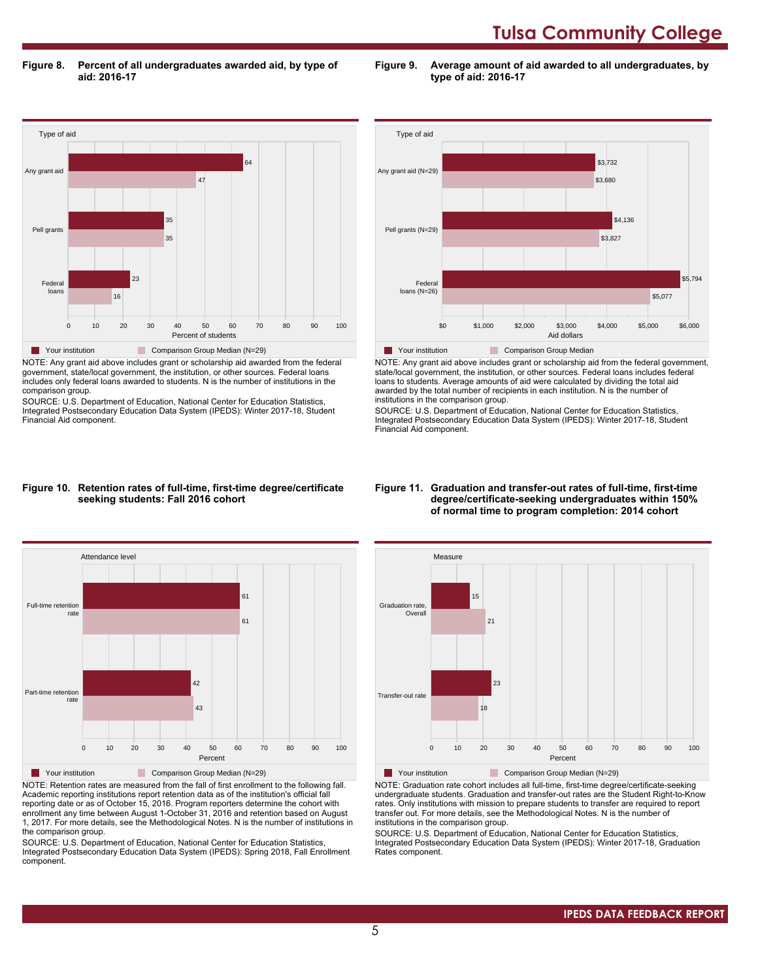**Figure 8. Percent of all undergraduates awarded aid, by type of aid: 2016-17**

**Figure 9. Average amount of aid awarded to all undergraduates, by type of aid: 2016-17**



NOTE: Any grant aid above includes grant or scholarship aid awarded from the federal government, state/local government, the institution, or other sources. Federal loans includes only federal loans awarded to students. N is the number of institutions in the comparison group.

SOURCE: U.S. Department of Education, National Center for Education Statistics, Integrated Postsecondary Education Data System (IPEDS): Winter 2017-18, Student Financial Aid component.



NOTE: Any grant aid above includes grant or scholarship aid from the federal government, state/local government, the institution, or other sources. Federal loans includes federal loans to students. Average amounts of aid were calculated by dividing the total aid awarded by the total number of recipients in each institution. N is the number of institutions in the comparison group.

SOURCE: U.S. Department of Education, National Center for Education Statistics, Integrated Postsecondary Education Data System (IPEDS): Winter 2017-18, Student Financial Aid component.

#### **Figure 10. Retention rates of full-time, first-time degree/certificate seeking students: Fall 2016 cohort**



NOTE: Retention rates are measured from the fall of first enrollment to the following fall. Academic reporting institutions report retention data as of the institution's official fall reporting date or as of October 15, 2016. Program reporters determine the cohort with enrollment any time between August 1-October 31, 2016 and retention based on August 1, 2017. For more details, see the Methodological Notes. N is the number of institutions in the comparison group.

SOURCE: U.S. Department of Education, National Center for Education Statistics, Integrated Postsecondary Education Data System (IPEDS): Spring 2018, Fall Enrollment component.

#### **Figure 11. Graduation and transfer-out rates of full-time, first-time degree/certificate-seeking undergraduates within 150% of normal time to program completion: 2014 cohort**



NOTE: Graduation rate cohort includes all full-time, first-time degree/certificate-seeking undergraduate students. Graduation and transfer-out rates are the Student Right-to-Know rates. Only institutions with mission to prepare students to transfer are required to report transfer out. For more details, see the Methodological Notes. N is the number of institutions in the comparison group.

SOURCE: U.S. Department of Education, National Center for Education Statistics, Integrated Postsecondary Education Data System (IPEDS): Winter 2017-18, Graduation Rates component.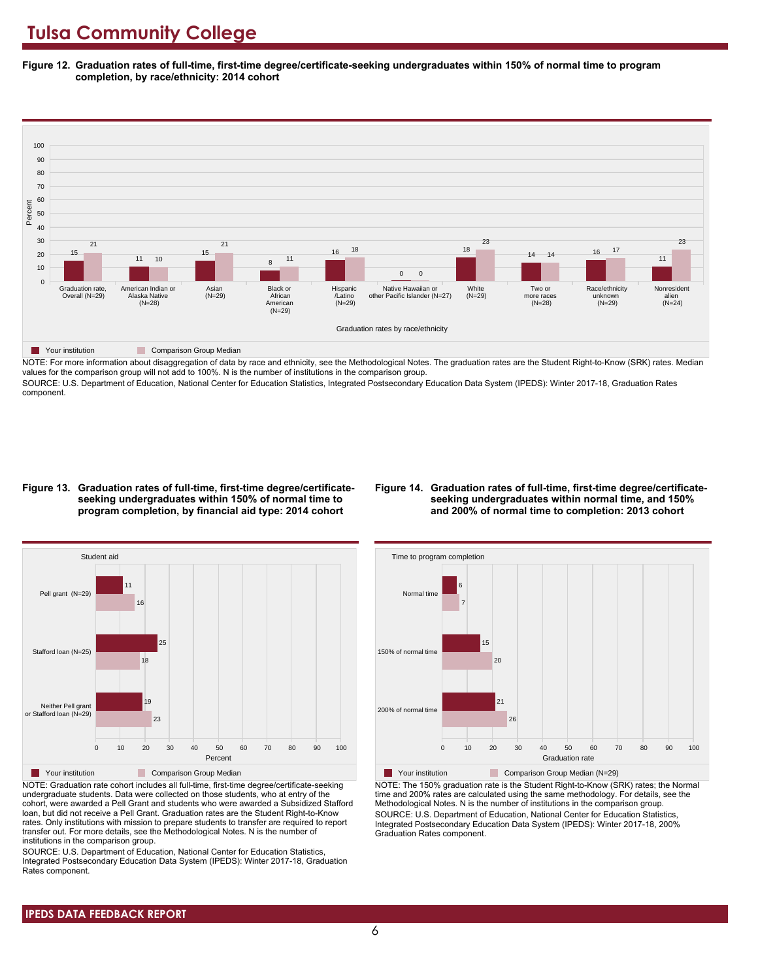**Figure 12. Graduation rates of full-time, first-time degree/certificate-seeking undergraduates within 150% of normal time to program completion, by race/ethnicity: 2014 cohort**



NOTE: For more information about disaggregation of data by race and ethnicity, see the Methodological Notes. The graduation rates are the Student Right-to-Know (SRK) rates. Median values for the comparison group will not add to 100%. N is the number of institutions in the comparison group.

SOURCE: U.S. Department of Education, National Center for Education Statistics, Integrated Postsecondary Education Data System (IPEDS): Winter 2017-18, Graduation Rates component.

#### **Figure 13. Graduation rates of full-time, first-time degree/certificateseeking undergraduates within 150% of normal time to program completion, by financial aid type: 2014 cohort**

#### **Figure 14. Graduation rates of full-time, first-time degree/certificateseeking undergraduates within normal time, and 150% and 200% of normal time to completion: 2013 cohort**



NOTE: Graduation rate cohort includes all full-time, first-time degree/certificate-seeking undergraduate students. Data were collected on those students, who at entry of the cohort, were awarded a Pell Grant and students who were awarded a Subsidized Stafford loan, but did not receive a Pell Grant. Graduation rates are the Student Right-to-Know rates. Only institutions with mission to prepare students to transfer are required to report transfer out. For more details, see the Methodological Notes. N is the number of institutions in the comparison group.

SOURCE: U.S. Department of Education, National Center for Education Statistics, Integrated Postsecondary Education Data System (IPEDS): Winter 2017-18, Graduation Rates component.



**Your institution** Comparison Group Median (N=29) NOTE: The 150% graduation rate is the Student Right-to-Know (SRK) rates; the Normal time and 200% rates are calculated using the same methodology. For details, see the Methodological Notes. N is the number of institutions in the comparison group. SOURCE: U.S. Department of Education, National Center for Education Statistics, Integrated Postsecondary Education Data System (IPEDS): Winter 2017-18, 200% Graduation Rates component.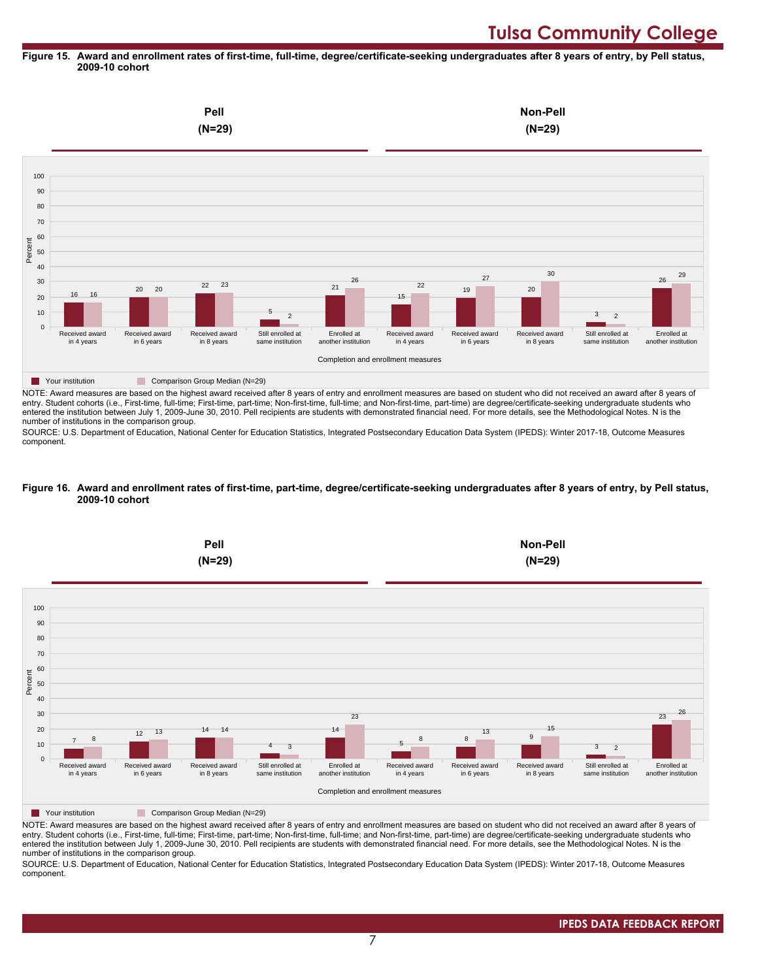#### **Figure 15. Award and enrollment rates of first-time, full-time, degree/certificate-seeking undergraduates after 8 years of entry, by Pell status, 2009-10 cohort**



NOTE: Award measures are based on the highest award received after 8 years of entry and enrollment measures are based on student who did not received an award after 8 years of entry. Student cohorts (i.e., First-time, full-time; First-time, part-time; Non-first-time, full-time; and Non-first-time, part-time) are degree/certificate-seeking undergraduate students who entered the institution between July 1, 2009-June 30, 2010. Pell recipients are students with demonstrated financial need. For more details, see the Methodological Notes. N is the number of institutions in the comparison group.

SOURCE: U.S. Department of Education, National Center for Education Statistics, Integrated Postsecondary Education Data System (IPEDS): Winter 2017-18, Outcome Measures component.

#### **Figure 16. Award and enrollment rates of first-time, part-time, degree/certificate-seeking undergraduates after 8 years of entry, by Pell status, 2009-10 cohort**



NOTE: Award measures are based on the highest award received after 8 years of entry and enrollment measures are based on student who did not received an award after 8 years of entry. Student cohorts (i.e., First-time, full-time; First-time, part-time; Non-first-time, full-time; and Non-first-time, part-time) are degree/certificate-seeking undergraduate students who entered the institution between July 1, 2009-June 30, 2010. Pell recipients are students with demonstrated financial need. For more details, see the Methodological Notes. N is the number of institutions in the comparison group.

SOURCE: U.S. Department of Education, National Center for Education Statistics, Integrated Postsecondary Education Data System (IPEDS): Winter 2017-18, Outcome Measures component.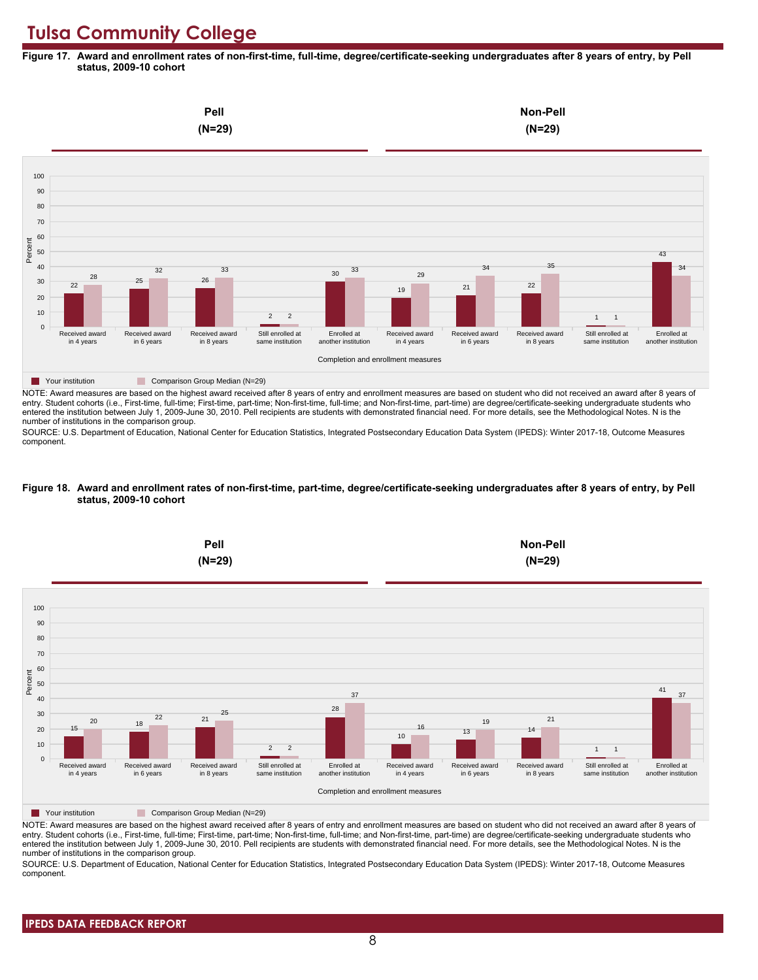**Figure 17. Award and enrollment rates of non-first-time, full-time, degree/certificate-seeking undergraduates after 8 years of entry, by Pell status, 2009-10 cohort**



NOTE: Award measures are based on the highest award received after 8 years of entry and enrollment measures are based on student who did not received an award after 8 years of entry. Student cohorts (i.e., First-time, full-time; First-time, part-time; Non-first-time, full-time; and Non-first-time, part-time) are degree/certificate-seeking undergraduate students who entered the institution between July 1, 2009-June 30, 2010. Pell recipients are students with demonstrated financial need. For more details, see the Methodological Notes. N is the number of institutions in the comparison group.

SOURCE: U.S. Department of Education, National Center for Education Statistics, Integrated Postsecondary Education Data System (IPEDS): Winter 2017-18, Outcome Measures component.

#### **Figure 18. Award and enrollment rates of non-first-time, part-time, degree/certificate-seeking undergraduates after 8 years of entry, by Pell status, 2009-10 cohort**



NOTE: Award measures are based on the highest award received after 8 years of entry and enrollment measures are based on student who did not received an award after 8 years of entry. Student cohorts (i.e., First-time, full-time; First-time, part-time; Non-first-time, full-time; and Non-first-time, part-time) are degree/certificate-seeking undergraduate students who entered the institution between July 1, 2009-June 30, 2010. Pell recipients are students with demonstrated financial need. For more details, see the Methodological Notes. N is the number of institutions in the comparison group.

SOURCE: U.S. Department of Education, National Center for Education Statistics, Integrated Postsecondary Education Data System (IPEDS): Winter 2017-18, Outcome Measures component.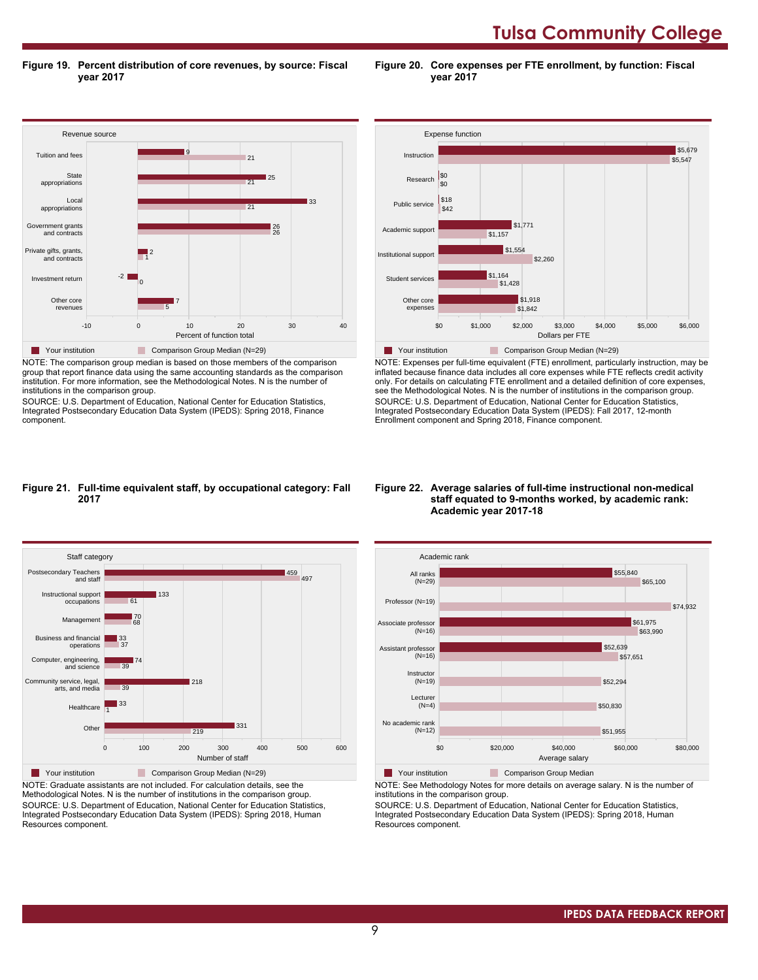**Tulsa Community College** 

**Figure 19. Percent distribution of core revenues, by source: Fiscal year 2017**

Revenue source -10 0 10 20 30 40 Percent of function total Other core revenues Investment return Private gifts, grants, and contracts Government grants and contracts Local appropriations State appropriations Tuition and fees 5 7 0  $-21$ 1 2 26 26 21 **133** 21  $\blacksquare$ 25 21 9 **The Your institution Comparison Group Median (N=29)** 

NOTE: The comparison group median is based on those members of the comparison group that report finance data using the same accounting standards as the comparison institution. For more information, see the Methodological Notes. N is the number of institutions in the comparison group.

SOURCE: U.S. Department of Education, National Center for Education Statistics, Integrated Postsecondary Education Data System (IPEDS): Spring 2018, Finance component.



**Figure 20. Core expenses per FTE enrollment, by function: Fiscal**

**year 2017**

NOTE: Expenses per full-time equivalent (FTE) enrollment, particularly instruction, may be inflated because finance data includes all core expenses while FTE reflects credit activity only. For details on calculating FTE enrollment and a detailed definition of core expenses, see the Methodological Notes. N is the number of institutions in the comparison group. SOURCE: U.S. Department of Education, National Center for Education Statistics, Integrated Postsecondary Education Data System (IPEDS): Fall 2017, 12-month Enrollment component and Spring 2018, Finance component.

#### **Figure 21. Full-time equivalent staff, by occupational category: Fall 2017**



NOTE: Graduate assistants are not included. For calculation details, see the Methodological Notes. N is the number of institutions in the comparison group. SOURCE: U.S. Department of Education, National Center for Education Statistics, Integrated Postsecondary Education Data System (IPEDS): Spring 2018, Human Resources component.

#### **Figure 22. Average salaries of full-time instructional non-medical staff equated to 9-months worked, by academic rank: Academic year 2017-18**



**The Your institution Comparison Group Median** 

NOTE: See Methodology Notes for more details on average salary. N is the number of institutions in the comparison group.

SOURCE: U.S. Department of Education, National Center for Education Statistics, Integrated Postsecondary Education Data System (IPEDS): Spring 2018, Human Resources component.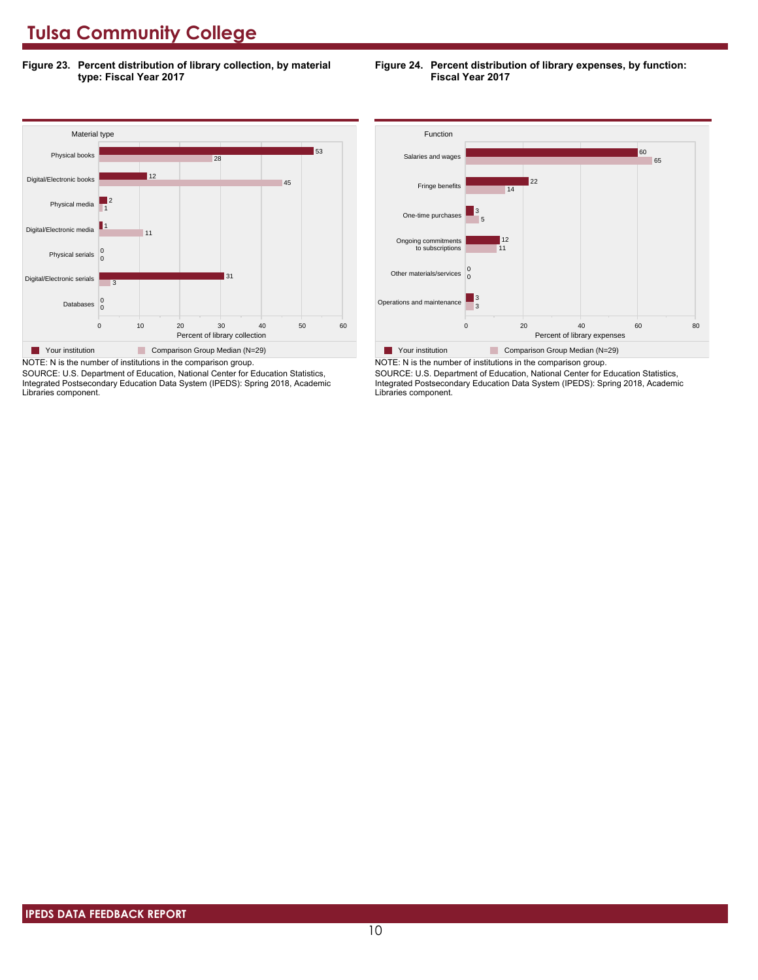**Figure 23. Percent distribution of library collection, by material type: Fiscal Year 2017**

#### **Figure 24. Percent distribution of library expenses, by function: Fiscal Year 2017**



NOTE: N is the number of institutions in the comparison group. SOURCE: U.S. Department of Education, National Center for Education Statistics,

Integrated Postsecondary Education Data System (IPEDS): Spring 2018, Academic Libraries component.



SOURCE: U.S. Department of Education, National Center for Education Statistics, Integrated Postsecondary Education Data System (IPEDS): Spring 2018, Academic Libraries component.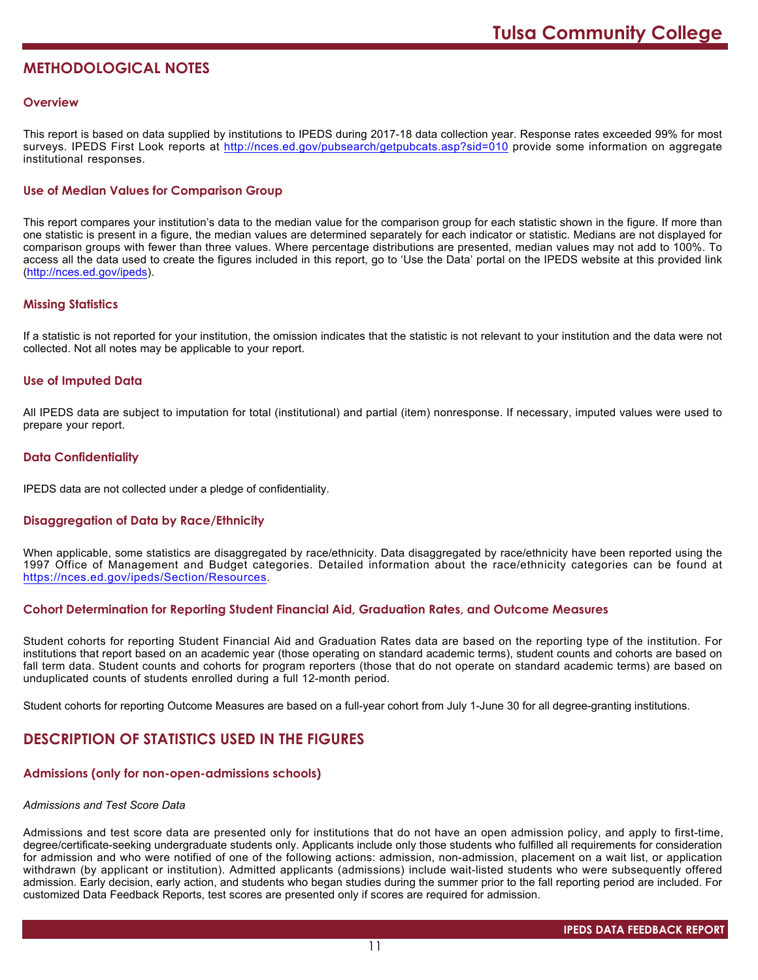# **METHODOLOGICAL NOTES**

#### **Overview**

This report is based on data supplied by institutions to IPEDS during 2017-18 data collection year. Response rates exceeded 99% for most surveys. IPEDS First Look reports at <http://nces.ed.gov/pubsearch/getpubcats.asp?sid=010> provide some information on aggregate institutional responses.

#### **Use of Median Values for Comparison Group**

This report compares your institution's data to the median value for the comparison group for each statistic shown in the figure. If more than one statistic is present in a figure, the median values are determined separately for each indicator or statistic. Medians are not displayed for comparison groups with fewer than three values. Where percentage distributions are presented, median values may not add to 100%. To access all the data used to create the figures included in this report, go to 'Use the Data' portal on the IPEDS website at this provided link (<http://nces.ed.gov/ipeds>).

#### **Missing Statistics**

If a statistic is not reported for your institution, the omission indicates that the statistic is not relevant to your institution and the data were not collected. Not all notes may be applicable to your report.

#### **Use of Imputed Data**

All IPEDS data are subject to imputation for total (institutional) and partial (item) nonresponse. If necessary, imputed values were used to prepare your report.

#### **Data Confidentiality**

IPEDS data are not collected under a pledge of confidentiality.

#### **Disaggregation of Data by Race/Ethnicity**

When applicable, some statistics are disaggregated by race/ethnicity. Data disaggregated by race/ethnicity have been reported using the 1997 Office of Management and Budget categories. Detailed information about the race/ethnicity categories can be found at <https://nces.ed.gov/ipeds/Section/Resources>.

#### **Cohort Determination for Reporting Student Financial Aid, Graduation Rates, and Outcome Measures**

Student cohorts for reporting Student Financial Aid and Graduation Rates data are based on the reporting type of the institution. For institutions that report based on an academic year (those operating on standard academic terms), student counts and cohorts are based on fall term data. Student counts and cohorts for program reporters (those that do not operate on standard academic terms) are based on unduplicated counts of students enrolled during a full 12-month period.

Student cohorts for reporting Outcome Measures are based on a full-year cohort from July 1-June 30 for all degree-granting institutions.

# **DESCRIPTION OF STATISTICS USED IN THE FIGURES**

#### **Admissions (only for non-open-admissions schools)**

#### *Admissions and Test Score Data*

Admissions and test score data are presented only for institutions that do not have an open admission policy, and apply to first-time, degree/certificate-seeking undergraduate students only. Applicants include only those students who fulfilled all requirements for consideration for admission and who were notified of one of the following actions: admission, non-admission, placement on a wait list, or application withdrawn (by applicant or institution). Admitted applicants (admissions) include wait-listed students who were subsequently offered admission. Early decision, early action, and students who began studies during the summer prior to the fall reporting period are included. For customized Data Feedback Reports, test scores are presented only if scores are required for admission.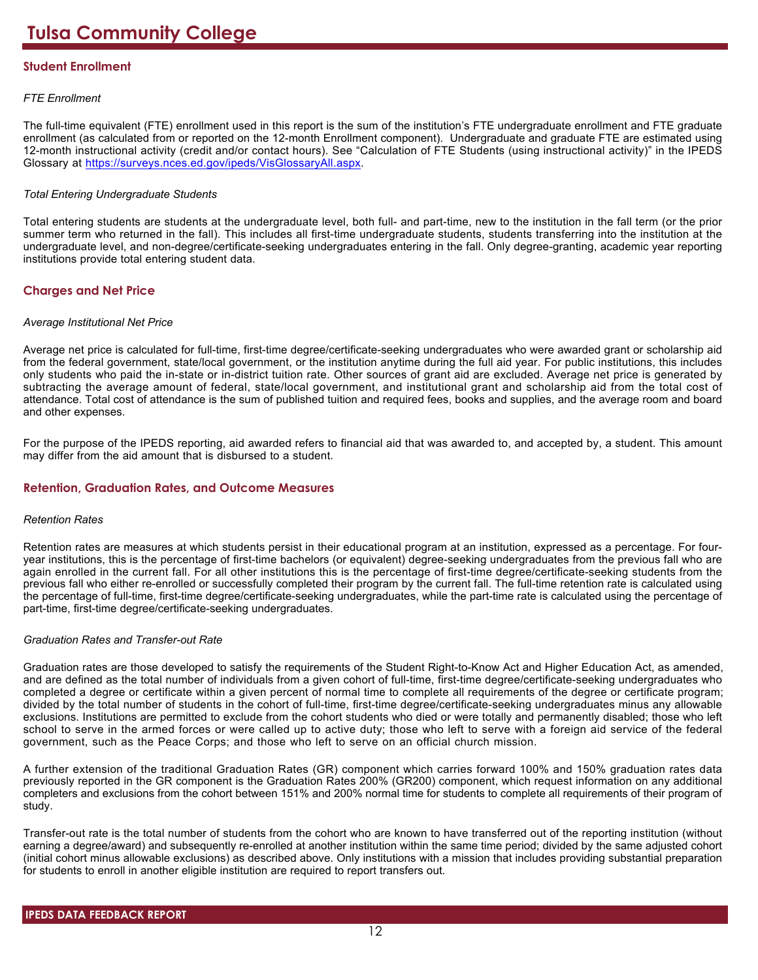### **Student Enrollment**

#### *FTE Enrollment*

The full-time equivalent (FTE) enrollment used in this report is the sum of the institution's FTE undergraduate enrollment and FTE graduate enrollment (as calculated from or reported on the 12-month Enrollment component). Undergraduate and graduate FTE are estimated using 12-month instructional activity (credit and/or contact hours). See "Calculation of FTE Students (using instructional activity)" in the IPEDS Glossary at <https://surveys.nces.ed.gov/ipeds/VisGlossaryAll.aspx>.

#### *Total Entering Undergraduate Students*

Total entering students are students at the undergraduate level, both full- and part-time, new to the institution in the fall term (or the prior summer term who returned in the fall). This includes all first-time undergraduate students, students transferring into the institution at the undergraduate level, and non-degree/certificate-seeking undergraduates entering in the fall. Only degree-granting, academic year reporting institutions provide total entering student data.

### **Charges and Net Price**

#### *Average Institutional Net Price*

Average net price is calculated for full-time, first-time degree/certificate-seeking undergraduates who were awarded grant or scholarship aid from the federal government, state/local government, or the institution anytime during the full aid year. For public institutions, this includes only students who paid the in-state or in-district tuition rate. Other sources of grant aid are excluded. Average net price is generated by subtracting the average amount of federal, state/local government, and institutional grant and scholarship aid from the total cost of attendance. Total cost of attendance is the sum of published tuition and required fees, books and supplies, and the average room and board and other expenses.

For the purpose of the IPEDS reporting, aid awarded refers to financial aid that was awarded to, and accepted by, a student. This amount may differ from the aid amount that is disbursed to a student.

#### **Retention, Graduation Rates, and Outcome Measures**

#### *Retention Rates*

Retention rates are measures at which students persist in their educational program at an institution, expressed as a percentage. For fouryear institutions, this is the percentage of first-time bachelors (or equivalent) degree-seeking undergraduates from the previous fall who are again enrolled in the current fall. For all other institutions this is the percentage of first-time degree/certificate-seeking students from the previous fall who either re-enrolled or successfully completed their program by the current fall. The full-time retention rate is calculated using the percentage of full-time, first-time degree/certificate-seeking undergraduates, while the part-time rate is calculated using the percentage of part-time, first-time degree/certificate-seeking undergraduates.

#### *Graduation Rates and Transfer-out Rate*

Graduation rates are those developed to satisfy the requirements of the Student Right-to-Know Act and Higher Education Act, as amended, and are defined as the total number of individuals from a given cohort of full-time, first-time degree/certificate-seeking undergraduates who completed a degree or certificate within a given percent of normal time to complete all requirements of the degree or certificate program; divided by the total number of students in the cohort of full-time, first-time degree/certificate-seeking undergraduates minus any allowable exclusions. Institutions are permitted to exclude from the cohort students who died or were totally and permanently disabled; those who left school to serve in the armed forces or were called up to active duty; those who left to serve with a foreign aid service of the federal government, such as the Peace Corps; and those who left to serve on an official church mission.

A further extension of the traditional Graduation Rates (GR) component which carries forward 100% and 150% graduation rates data previously reported in the GR component is the Graduation Rates 200% (GR200) component, which request information on any additional completers and exclusions from the cohort between 151% and 200% normal time for students to complete all requirements of their program of study.

Transfer-out rate is the total number of students from the cohort who are known to have transferred out of the reporting institution (without earning a degree/award) and subsequently re-enrolled at another institution within the same time period; divided by the same adjusted cohort (initial cohort minus allowable exclusions) as described above. Only institutions with a mission that includes providing substantial preparation for students to enroll in another eligible institution are required to report transfers out.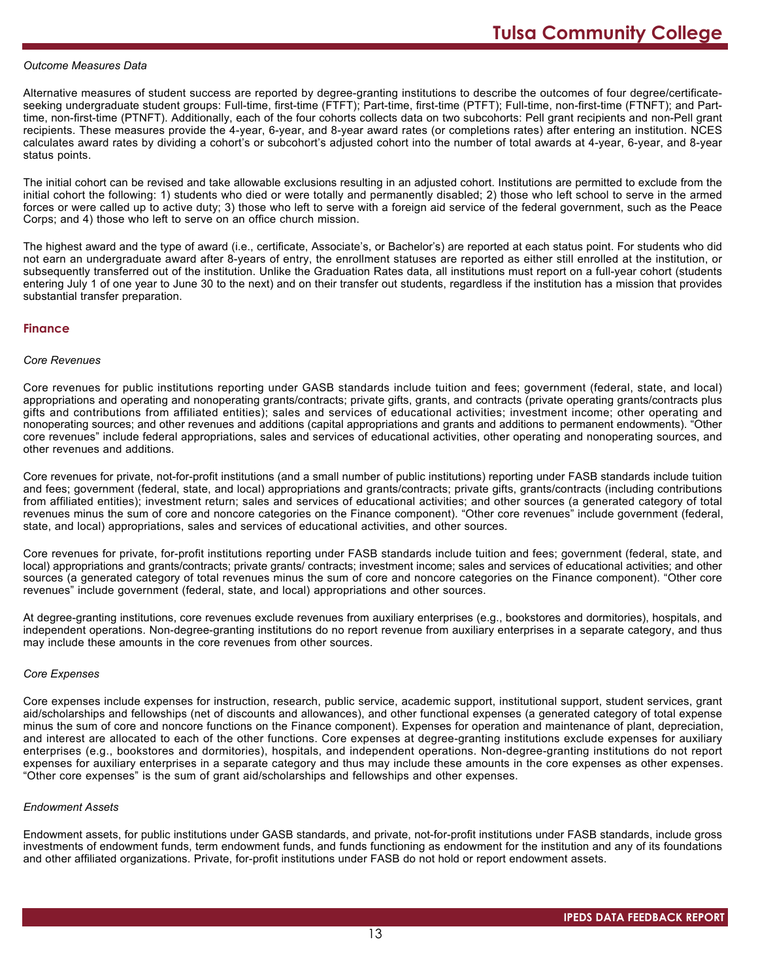#### *Outcome Measures Data*

Alternative measures of student success are reported by degree-granting institutions to describe the outcomes of four degree/certificateseeking undergraduate student groups: Full-time, first-time (FTFT); Part-time, first-time (PTFT); Full-time, non-first-time (FTNFT); and Parttime, non-first-time (PTNFT). Additionally, each of the four cohorts collects data on two subcohorts: Pell grant recipients and non-Pell grant recipients. These measures provide the 4-year, 6-year, and 8-year award rates (or completions rates) after entering an institution. NCES calculates award rates by dividing a cohort's or subcohort's adjusted cohort into the number of total awards at 4-year, 6-year, and 8-year status points.

The initial cohort can be revised and take allowable exclusions resulting in an adjusted cohort. Institutions are permitted to exclude from the initial cohort the following: 1) students who died or were totally and permanently disabled; 2) those who left school to serve in the armed forces or were called up to active duty; 3) those who left to serve with a foreign aid service of the federal government, such as the Peace Corps; and 4) those who left to serve on an office church mission.

The highest award and the type of award (i.e., certificate, Associate's, or Bachelor's) are reported at each status point. For students who did not earn an undergraduate award after 8-years of entry, the enrollment statuses are reported as either still enrolled at the institution, or subsequently transferred out of the institution. Unlike the Graduation Rates data, all institutions must report on a full-year cohort (students entering July 1 of one year to June 30 to the next) and on their transfer out students, regardless if the institution has a mission that provides substantial transfer preparation.

#### **Finance**

#### *Core Revenues*

Core revenues for public institutions reporting under GASB standards include tuition and fees; government (federal, state, and local) appropriations and operating and nonoperating grants/contracts; private gifts, grants, and contracts (private operating grants/contracts plus gifts and contributions from affiliated entities); sales and services of educational activities; investment income; other operating and nonoperating sources; and other revenues and additions (capital appropriations and grants and additions to permanent endowments). "Other core revenues" include federal appropriations, sales and services of educational activities, other operating and nonoperating sources, and other revenues and additions.

Core revenues for private, not-for-profit institutions (and a small number of public institutions) reporting under FASB standards include tuition and fees; government (federal, state, and local) appropriations and grants/contracts; private gifts, grants/contracts (including contributions from affiliated entities); investment return; sales and services of educational activities; and other sources (a generated category of total revenues minus the sum of core and noncore categories on the Finance component). "Other core revenues" include government (federal, state, and local) appropriations, sales and services of educational activities, and other sources.

Core revenues for private, for-profit institutions reporting under FASB standards include tuition and fees; government (federal, state, and local) appropriations and grants/contracts; private grants/ contracts; investment income; sales and services of educational activities; and other sources (a generated category of total revenues minus the sum of core and noncore categories on the Finance component). "Other core revenues" include government (federal, state, and local) appropriations and other sources.

At degree-granting institutions, core revenues exclude revenues from auxiliary enterprises (e.g., bookstores and dormitories), hospitals, and independent operations. Non-degree-granting institutions do no report revenue from auxiliary enterprises in a separate category, and thus may include these amounts in the core revenues from other sources.

#### *Core Expenses*

Core expenses include expenses for instruction, research, public service, academic support, institutional support, student services, grant aid/scholarships and fellowships (net of discounts and allowances), and other functional expenses (a generated category of total expense minus the sum of core and noncore functions on the Finance component). Expenses for operation and maintenance of plant, depreciation, and interest are allocated to each of the other functions. Core expenses at degree-granting institutions exclude expenses for auxiliary enterprises (e.g., bookstores and dormitories), hospitals, and independent operations. Non-degree-granting institutions do not report expenses for auxiliary enterprises in a separate category and thus may include these amounts in the core expenses as other expenses. "Other core expenses" is the sum of grant aid/scholarships and fellowships and other expenses.

#### *Endowment Assets*

Endowment assets, for public institutions under GASB standards, and private, not-for-profit institutions under FASB standards, include gross investments of endowment funds, term endowment funds, and funds functioning as endowment for the institution and any of its foundations and other affiliated organizations. Private, for-profit institutions under FASB do not hold or report endowment assets.